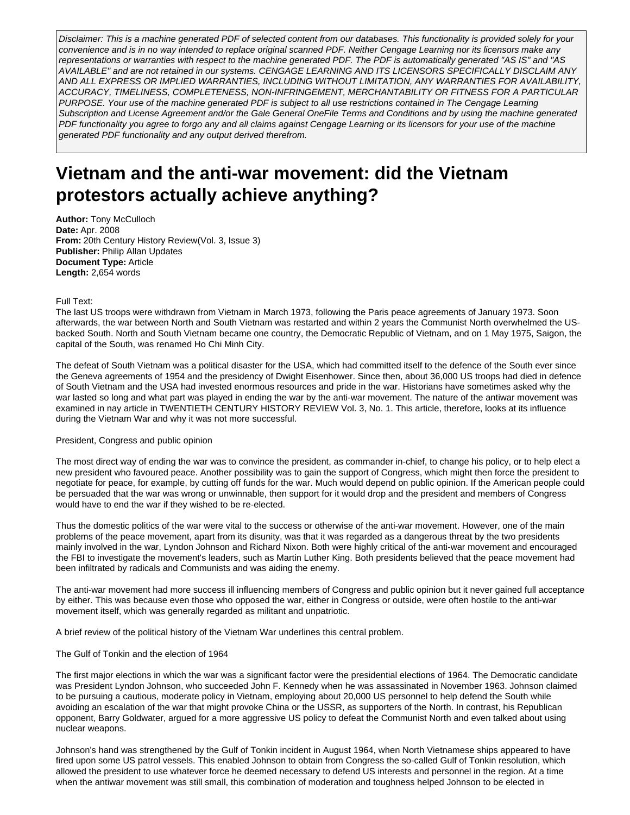Disclaimer: This is a machine generated PDF of selected content from our databases. This functionality is provided solely for your convenience and is in no way intended to replace original scanned PDF. Neither Cengage Learning nor its licensors make any representations or warranties with respect to the machine generated PDF. The PDF is automatically generated "AS IS" and "AS AVAILABLE" and are not retained in our systems. CENGAGE LEARNING AND ITS LICENSORS SPECIFICALLY DISCLAIM ANY AND ALL EXPRESS OR IMPLIED WARRANTIES, INCLUDING WITHOUT LIMITATION, ANY WARRANTIES FOR AVAILABILITY, ACCURACY, TIMELINESS, COMPLETENESS, NON-INFRINGEMENT, MERCHANTABILITY OR FITNESS FOR A PARTICULAR PURPOSE. Your use of the machine generated PDF is subject to all use restrictions contained in The Cengage Learning Subscription and License Agreement and/or the Gale General OneFile Terms and Conditions and by using the machine generated PDF functionality you agree to forgo any and all claims against Cengage Learning or its licensors for your use of the machine generated PDF functionality and any output derived therefrom.

# **Vietnam and the anti-war movement: did the Vietnam protestors actually achieve anything?**

**Author:** Tony McCulloch **Date:** Apr. 2008 **From:** 20th Century History Review(Vol. 3, Issue 3) **Publisher:** Philip Allan Updates **Document Type:** Article **Length:** 2,654 words

# Full Text:

The last US troops were withdrawn from Vietnam in March 1973, following the Paris peace agreements of January 1973. Soon afterwards, the war between North and South Vietnam was restarted and within 2 years the Communist North overwhelmed the USbacked South. North and South Vietnam became one country, the Democratic Republic of Vietnam, and on 1 May 1975, Saigon, the capital of the South, was renamed Ho Chi Minh City.

The defeat of South Vietnam was a political disaster for the USA, which had committed itself to the defence of the South ever since the Geneva agreements of 1954 and the presidency of Dwight Eisenhower. Since then, about 36,000 US troops had died in defence of South Vietnam and the USA had invested enormous resources and pride in the war. Historians have sometimes asked why the war lasted so long and what part was played in ending the war by the anti-war movement. The nature of the antiwar movement was examined in nay article in TWENTIETH CENTURY HISTORY REVIEW Vol. 3, No. 1. This article, therefore, looks at its influence during the Vietnam War and why it was not more successful.

# President, Congress and public opinion

The most direct way of ending the war was to convince the president, as commander in-chief, to change his policy, or to help elect a new president who favoured peace. Another possibility was to gain the support of Congress, which might then force the president to negotiate for peace, for example, by cutting off funds for the war. Much would depend on public opinion. If the American people could be persuaded that the war was wrong or unwinnable, then support for it would drop and the president and members of Congress would have to end the war if they wished to be re-elected.

Thus the domestic politics of the war were vital to the success or otherwise of the anti-war movement. However, one of the main problems of the peace movement, apart from its disunity, was that it was regarded as a dangerous threat by the two presidents mainly involved in the war, Lyndon Johnson and Richard Nixon. Both were highly critical of the anti-war movement and encouraged the FBI to investigate the movement's leaders, such as Martin Luther King. Both presidents believed that the peace movement had been infiltrated by radicals and Communists and was aiding the enemy.

The anti-war movement had more success ill influencing members of Congress and public opinion but it never gained full acceptance by either. This was because even those who opposed the war, either in Congress or outside, were often hostile to the anti-war movement itself, which was generally regarded as militant and unpatriotic.

A brief review of the political history of the Vietnam War underlines this central problem.

# The Gulf of Tonkin and the election of 1964

The first major elections in which the war was a significant factor were the presidential elections of 1964. The Democratic candidate was President Lyndon Johnson, who succeeded John F. Kennedy when he was assassinated in November 1963. Johnson claimed to be pursuing a cautious, moderate policy in Vietnam, employing about 20,000 US personnel to help defend the South while avoiding an escalation of the war that might provoke China or the USSR, as supporters of the North. In contrast, his Republican opponent, Barry Goldwater, argued for a more aggressive US policy to defeat the Communist North and even talked about using nuclear weapons.

Johnson's hand was strengthened by the Gulf of Tonkin incident in August 1964, when North Vietnamese ships appeared to have fired upon some US patrol vessels. This enabled Johnson to obtain from Congress the so-called Gulf of Tonkin resolution, which allowed the president to use whatever force he deemed necessary to defend US interests and personnel in the region. At a time when the antiwar movement was still small, this combination of moderation and toughness helped Johnson to be elected in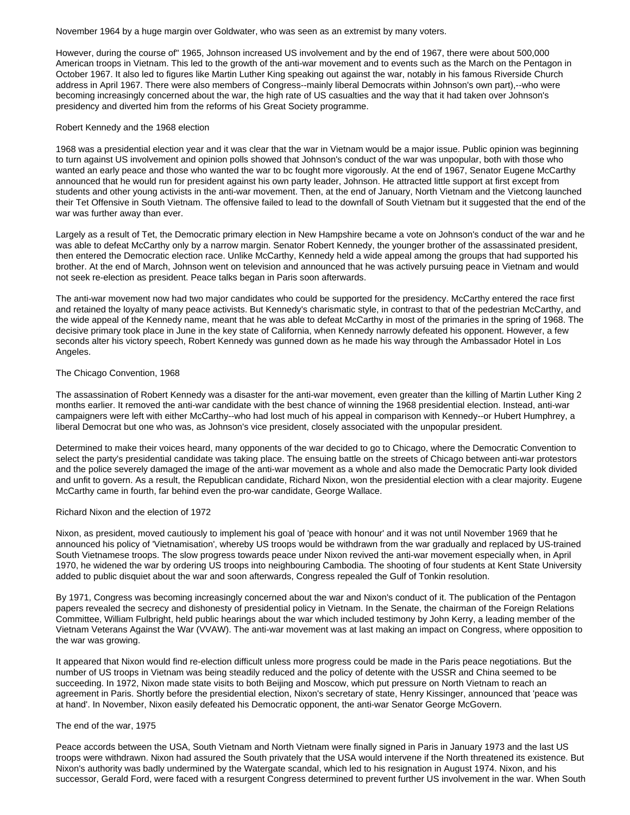November 1964 by a huge margin over Goldwater, who was seen as an extremist by many voters.

However, during the course of" 1965, Johnson increased US involvement and by the end of 1967, there were about 500,000 American troops in Vietnam. This led to the growth of the anti-war movement and to events such as the March on the Pentagon in October 1967. It also led to figures like Martin Luther King speaking out against the war, notably in his famous Riverside Church address in April 1967. There were also members of Congress--mainly liberal Democrats within Johnson's own part),--who were becoming increasingly concerned about the war, the high rate of US casualties and the way that it had taken over Johnson's presidency and diverted him from the reforms of his Great Society programme.

# Robert Kennedy and the 1968 election

1968 was a presidential election year and it was clear that the war in Vietnam would be a major issue. Public opinion was beginning to turn against US involvement and opinion polls showed that Johnson's conduct of the war was unpopular, both with those who wanted an early peace and those who wanted the war to bc fought more vigorously. At the end of 1967, Senator Eugene McCarthy announced that he would run for president against his own party leader, Johnson. He attracted little support at first except from students and other young activists in the anti-war movement. Then, at the end of January, North Vietnam and the Vietcong launched their Tet Offensive in South Vietnam. The offensive failed to lead to the downfall of South Vietnam but it suggested that the end of the war was further away than ever.

Largely as a result of Tet, the Democratic primary election in New Hampshire became a vote on Johnson's conduct of the war and he was able to defeat McCarthy only by a narrow margin. Senator Robert Kennedy, the younger brother of the assassinated president, then entered the Democratic election race. Unlike McCarthy, Kennedy held a wide appeal among the groups that had supported his brother. At the end of March, Johnson went on television and announced that he was actively pursuing peace in Vietnam and would not seek re-election as president. Peace talks began in Paris soon afterwards.

The anti-war movement now had two major candidates who could be supported for the presidency. McCarthy entered the race first and retained the loyalty of many peace activists. But Kennedy's charismatic style, in contrast to that of the pedestrian McCarthy, and the wide appeal of the Kennedy name, meant that he was able to defeat McCarthy in most of the primaries in the spring of 1968. The decisive primary took place in June in the key state of California, when Kennedy narrowly defeated his opponent. However, a few seconds alter his victory speech, Robert Kennedy was gunned down as he made his way through the Ambassador Hotel in Los Angeles.

## The Chicago Convention, 1968

The assassination of Robert Kennedy was a disaster for the anti-war movement, even greater than the killing of Martin Luther King 2 months earlier. It removed the anti-war candidate with the best chance of winning the 1968 presidential election. Instead, anti-war campaigners were left with either McCarthy--who had lost much of his appeal in comparison with Kennedy--or Hubert Humphrey, a liberal Democrat but one who was, as Johnson's vice president, closely associated with the unpopular president.

Determined to make their voices heard, many opponents of the war decided to go to Chicago, where the Democratic Convention to select the party's presidential candidate was taking place. The ensuing battle on the streets of Chicago between anti-war protestors and the police severely damaged the image of the anti-war movement as a whole and also made the Democratic Party look divided and unfit to govern. As a result, the Republican candidate, Richard Nixon, won the presidential election with a clear majority. Eugene McCarthy came in fourth, far behind even the pro-war candidate, George Wallace.

# Richard Nixon and the election of 1972

Nixon, as president, moved cautiously to implement his goal of 'peace with honour' and it was not until November 1969 that he announced his policy of 'Vietnamisation', whereby US troops would be withdrawn from the war gradually and replaced by US-trained South Vietnamese troops. The slow progress towards peace under Nixon revived the anti-war movement especially when, in April 1970, he widened the war by ordering US troops into neighbouring Cambodia. The shooting of four students at Kent State University added to public disquiet about the war and soon afterwards, Congress repealed the Gulf of Tonkin resolution.

By 1971, Congress was becoming increasingly concerned about the war and Nixon's conduct of it. The publication of the Pentagon papers revealed the secrecy and dishonesty of presidential policy in Vietnam. In the Senate, the chairman of the Foreign Relations Committee, William Fulbright, held public hearings about the war which included testimony by John Kerry, a leading member of the Vietnam Veterans Against the War (VVAW). The anti-war movement was at last making an impact on Congress, where opposition to the war was growing.

It appeared that Nixon would find re-election difficult unless more progress could be made in the Paris peace negotiations. But the number of US troops in Vietnam was being steadily reduced and the policy of detente with the USSR and China seemed to be succeeding. In 1972, Nixon made state visits to both Beijing and Moscow, which put pressure on North Vietnam to reach an agreement in Paris. Shortly before the presidential election, Nixon's secretary of state, Henry Kissinger, announced that 'peace was at hand'. In November, Nixon easily defeated his Democratic opponent, the anti-war Senator George McGovern.

# The end of the war, 1975

Peace accords between the USA, South Vietnam and North Vietnam were finally signed in Paris in January 1973 and the last US troops were withdrawn. Nixon had assured the South privately that the USA would intervene if the North threatened its existence. But Nixon's authority was badly undermined by the Watergate scandal, which led to his resignation in August 1974. Nixon, and his successor, Gerald Ford, were faced with a resurgent Congress determined to prevent further US involvement in the war. When South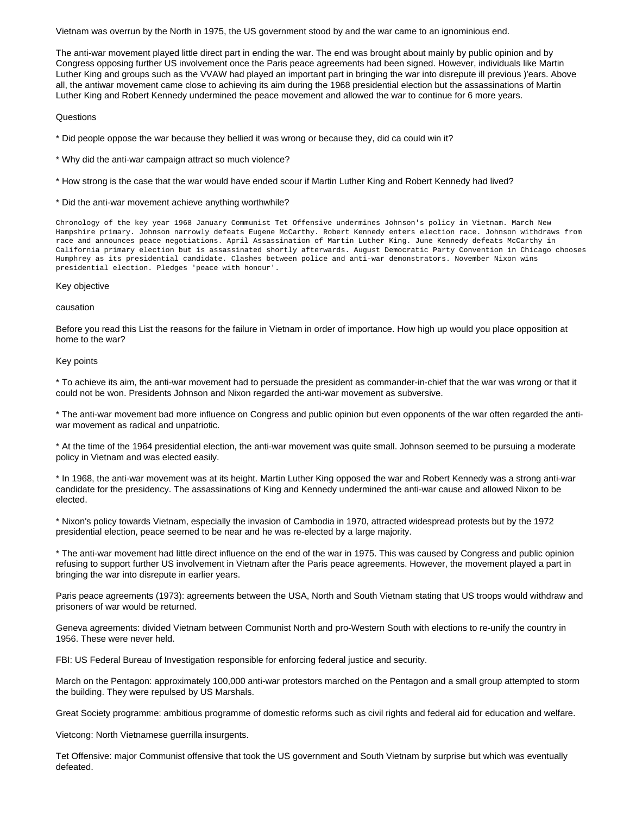Vietnam was overrun by the North in 1975, the US government stood by and the war came to an ignominious end.

The anti-war movement played little direct part in ending the war. The end was brought about mainly by public opinion and by Congress opposing further US involvement once the Paris peace agreements had been signed. However, individuals like Martin Luther King and groups such as the VVAW had played an important part in bringing the war into disrepute ill previous )'ears. Above all, the antiwar movement came close to achieving its aim during the 1968 presidential election but the assassinations of Martin Luther King and Robert Kennedy undermined the peace movement and allowed the war to continue for 6 more years.

#### **Questions**

\* Did people oppose the war because they bellied it was wrong or because they, did ca could win it?

- \* Why did the anti-war campaign attract so much violence?
- \* How strong is the case that the war would have ended scour if Martin Luther King and Robert Kennedy had lived?
- \* Did the anti-war movement achieve anything worthwhile?

Chronology of the key year 1968 January Communist Tet Offensive undermines Johnson's policy in Vietnam. March New Hampshire primary. Johnson narrowly defeats Eugene McCarthy. Robert Kennedy enters election race. Johnson withdraws from race and announces peace negotiations. April Assassination of Martin Luther King. June Kennedy defeats McCarthy in California primary election but is assassinated shortly afterwards. August Democratic Party Convention in Chicago chooses Humphrey as its presidential candidate. Clashes between police and anti-war demonstrators. November Nixon wins presidential election. Pledges 'peace with honour'.

#### Key objective

#### causation

Before you read this List the reasons for the failure in Vietnam in order of importance. How high up would you place opposition at home to the war?

# Key points

\* To achieve its aim, the anti-war movement had to persuade the president as commander-in-chief that the war was wrong or that it could not be won. Presidents Johnson and Nixon regarded the anti-war movement as subversive.

\* The anti-war movement bad more influence on Congress and public opinion but even opponents of the war often regarded the antiwar movement as radical and unpatriotic.

\* At the time of the 1964 presidential election, the anti-war movement was quite small. Johnson seemed to be pursuing a moderate policy in Vietnam and was elected easily.

\* In 1968, the anti-war movement was at its height. Martin Luther King opposed the war and Robert Kennedy was a strong anti-war candidate for the presidency. The assassinations of King and Kennedy undermined the anti-war cause and allowed Nixon to be elected.

\* Nixon's policy towards Vietnam, especially the invasion of Cambodia in 1970, attracted widespread protests but by the 1972 presidential election, peace seemed to be near and he was re-elected by a large majority.

\* The anti-war movement had little direct influence on the end of the war in 1975. This was caused by Congress and public opinion refusing to support further US involvement in Vietnam after the Paris peace agreements. However, the movement played a part in bringing the war into disrepute in earlier years.

Paris peace agreements (1973): agreements between the USA, North and South Vietnam stating that US troops would withdraw and prisoners of war would be returned.

Geneva agreements: divided Vietnam between Communist North and pro-Western South with elections to re-unify the country in 1956. These were never held.

FBI: US Federal Bureau of Investigation responsible for enforcing federal justice and security.

March on the Pentagon: approximately 100,000 anti-war protestors marched on the Pentagon and a small group attempted to storm the building. They were repulsed by US Marshals.

Great Society programme: ambitious programme of domestic reforms such as civil rights and federal aid for education and welfare.

Vietcong: North Vietnamese guerrilla insurgents.

Tet Offensive: major Communist offensive that took the US government and South Vietnam by surprise but which was eventually defeated.